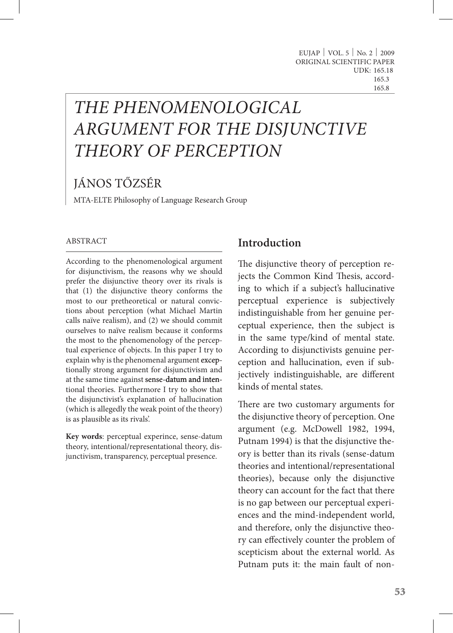# *THE PHENOMENOLOGICAL ARGUMENT FOR THE DISJUNCTIVE THEORY OF PERCEPTION*

# JÁNOS TŐZSÉR

MTA-ELTE Philosophy of Language Research Group

#### ABSTRACT

According to the phenomenological argument for disjunctivism, the reasons why we should prefer the disjunctive theory over its rivals is that (1) the disjunctive theory conforms the most to our pretheoretical or natural convictions about perception (what Michael Martin calls naïve realism), and (2) we should commit ourselves to naïve realism because it conforms the most to the phenomenology of the perceptual experience of objects. In this paper I try to explain why is the phenomenal argument exceptionally strong argument for disjunctivism and at the same time against sense-datum and intentional theories. Furthermore I try to show that the disjunctivist's explanation of hallucination (which is allegedly the weak point of the theory) is as plausible as its rivals'.

**Key words**: perceptual experince, sense-datum theory, intentional/representational theory, disjunctivism, transparency, perceptual presence.

### **Introduction**

The disjunctive theory of perception rejects the Common Kind Thesis, according to which if a subject's hallucinative perceptual experience is subjectively indistinguishable from her genuine perceptual experience, then the subject is in the same type/kind of mental state. According to disjunctivists genuine perception and hallucination, even if subjectively indistinguishable, are different kinds of mental states.

There are two customary arguments for the disjunctive theory of perception. One argument (e.g. McDowell 1982, 1994, Putnam 1994) is that the disjunctive theory is better than its rivals (sense-datum theories and intentional/representational theories), because only the disjunctive theory can account for the fact that there is no gap between our perceptual experiences and the mind-independent world, and therefore, only the disjunctive theory can effectively counter the problem of scepticism about the external world. As Putnam puts it: the main fault of non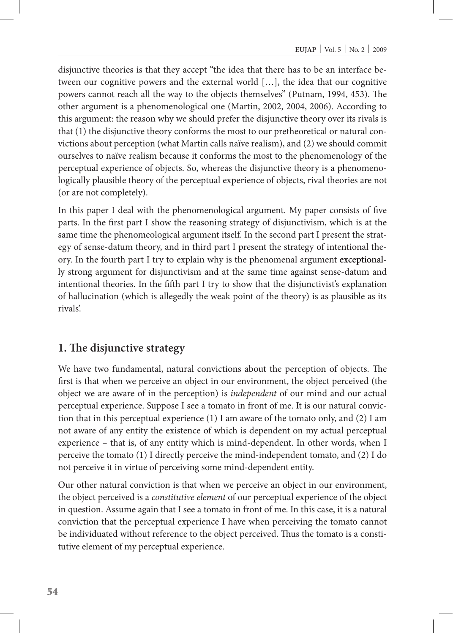disjunctive theories is that they accept "the idea that there has to be an interface between our cognitive powers and the external world […], the idea that our cognitive powers cannot reach all the way to the objects themselves" (Putnam, 1994, 453). The other argument is a phenomenological one (Martin, 2002, 2004, 2006). According to this argument: the reason why we should prefer the disjunctive theory over its rivals is that (1) the disjunctive theory conforms the most to our pretheoretical or natural convictions about perception (what Martin calls naïve realism), and (2) we should commit ourselves to naïve realism because it conforms the most to the phenomenology of the perceptual experience of objects. So, whereas the disjunctive theory is a phenomenologically plausible theory of the perceptual experience of objects, rival theories are not (or are not completely).

In this paper I deal with the phenomenological argument. My paper consists of five parts. In the first part I show the reasoning strategy of disjunctivism, which is at the same time the phenomeological argument itself. In the second part I present the strategy of sense-datum theory, and in third part I present the strategy of intentional theory. In the fourth part I try to explain why is the phenomenal argument exceptionally strong argument for disjunctivism and at the same time against sense-datum and intentional theories. In the fifth part I try to show that the disjunctivist's explanation of hallucination (which is allegedly the weak point of the theory) is as plausible as its rivals'.

#### **1. The disjunctive strategy**

We have two fundamental, natural convictions about the perception of objects. The first is that when we perceive an object in our environment, the object perceived (the object we are aware of in the perception) is *independent* of our mind and our actual perceptual experience. Suppose I see a tomato in front of me. It is our natural conviction that in this perceptual experience  $(1)$  I am aware of the tomato only, and  $(2)$  I am not aware of any entity the existence of which is dependent on my actual perceptual experience – that is, of any entity which is mind-dependent. In other words, when I perceive the tomato (1) I directly perceive the mind-independent tomato, and (2) I do not perceive it in virtue of perceiving some mind-dependent entity.

Our other natural conviction is that when we perceive an object in our environment, the object perceived is a *constitutive element* of our perceptual experience of the object in question. Assume again that I see a tomato in front of me. In this case, it is a natural conviction that the perceptual experience I have when perceiving the tomato cannot be individuated without reference to the object perceived. Thus the tomato is a constitutive element of my perceptual experience.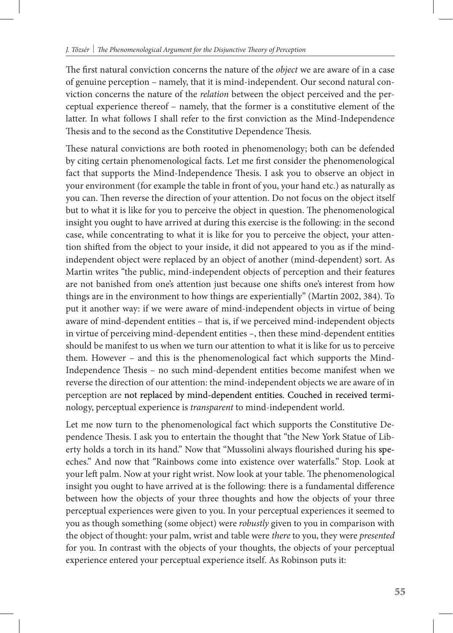The first natural conviction concerns the nature of the *object* we are aware of in a case of genuine perception – namely, that it is mind-independent. Our second natural conviction concerns the nature of the *relation* between the object perceived and the perceptual experience thereof – namely, that the former is a constitutive element of the latter. In what follows I shall refer to the first conviction as the Mind-Independence Thesis and to the second as the Constitutive Dependence Thesis.

These natural convictions are both rooted in phenomenology; both can be defended by citing certain phenomenological facts. Let me first consider the phenomenological fact that supports the Mind-Independence Thesis. I ask you to observe an object in your environment (for example the table in front of you, your hand etc.) as naturally as you can. Then reverse the direction of your attention. Do not focus on the object itself but to what it is like for you to perceive the object in question. The phenomenological insight you ought to have arrived at during this exercise is the following: in the second case, while concentrating to what it is like for you to perceive the object, your attention shifted from the object to your inside, it did not appeared to you as if the mindindependent object were replaced by an object of another (mind-dependent) sort. As Martin writes "the public, mind-independent objects of perception and their features are not banished from one's attention just because one shifts one's interest from how things are in the environment to how things are experientially" (Martin 2002, 384). To put it another way: if we were aware of mind-independent objects in virtue of being aware of mind-dependent entities – that is, if we perceived mind-independent objects in virtue of perceiving mind-dependent entities –, then these mind-dependent entities should be manifest to us when we turn our attention to what it is like for us to perceive them. However – and this is the phenomenological fact which supports the Mind-Independence Thesis – no such mind-dependent entities become manifest when we reverse the direction of our attention: the mind-independent objects we are aware of in perception are not replaced by mind-dependent entities. Couched in received terminology, perceptual experience is *transparent* to mind-independent world.

Let me now turn to the phenomenological fact which supports the Constitutive Dependence Thesis. I ask you to entertain the thought that "the New York Statue of Liberty holds a torch in its hand." Now that "Mussolini always flourished during his speeches." And now that "Rainbows come into existence over waterfalls." Stop. Look at your left palm. Now at your right wrist. Now look at your table. The phenomenological insight you ought to have arrived at is the following: there is a fundamental difference between how the objects of your three thoughts and how the objects of your three perceptual experiences were given to you. In your perceptual experiences it seemed to you as though something (some object) were *robustly* given to you in comparison with the object of thought: your palm, wrist and table were *there* to you, they were *presented* for you. In contrast with the objects of your thoughts, the objects of your perceptual experience entered your perceptual experience itself. As Robinson puts it: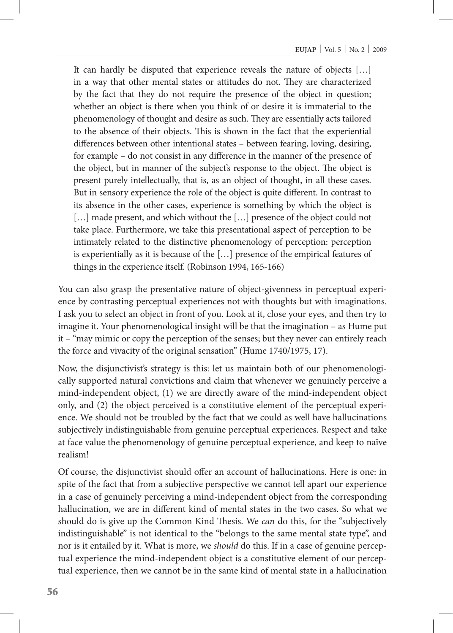It can hardly be disputed that experience reveals the nature of objects […] in a way that other mental states or attitudes do not. They are characterized by the fact that they do not require the presence of the object in question; whether an object is there when you think of or desire it is immaterial to the phenomenology of thought and desire as such. They are essentially acts tailored to the absence of their objects. This is shown in the fact that the experiential differences between other intentional states – between fearing, loving, desiring, for example – do not consist in any difference in the manner of the presence of the object, but in manner of the subject's response to the object. The object is present purely intellectually, that is, as an object of thought, in all these cases. But in sensory experience the role of the object is quite different. In contrast to its absence in the other cases, experience is something by which the object is [...] made present, and which without the [...] presence of the object could not take place. Furthermore, we take this presentational aspect of perception to be intimately related to the distinctive phenomenology of perception: perception is experientially as it is because of the […] presence of the empirical features of things in the experience itself. (Robinson 1994, 165-166)

You can also grasp the presentative nature of object-givenness in perceptual experience by contrasting perceptual experiences not with thoughts but with imaginations. I ask you to select an object in front of you. Look at it, close your eyes, and then try to imagine it. Your phenomenological insight will be that the imagination – as Hume put it – "may mimic or copy the perception of the senses; but they never can entirely reach the force and vivacity of the original sensation" (Hume 1740/1975, 17).

Now, the disjunctivist's strategy is this: let us maintain both of our phenomenologically supported natural convictions and claim that whenever we genuinely perceive a mind-independent object, (1) we are directly aware of the mind-independent object only, and (2) the object perceived is a constitutive element of the perceptual experience. We should not be troubled by the fact that we could as well have hallucinations subjectively indistinguishable from genuine perceptual experiences. Respect and take at face value the phenomenology of genuine perceptual experience, and keep to naïve realism!

Of course, the disjunctivist should offer an account of hallucinations. Here is one: in spite of the fact that from a subjective perspective we cannot tell apart our experience in a case of genuinely perceiving a mind-independent object from the corresponding hallucination, we are in different kind of mental states in the two cases. So what we should do is give up the Common Kind Thesis. We *can* do this, for the "subjectively indistinguishable" is not identical to the "belongs to the same mental state type", and nor is it entailed by it. What is more, we *should* do this. If in a case of genuine perceptual experience the mind-independent object is a constitutive element of our perceptual experience, then we cannot be in the same kind of mental state in a hallucination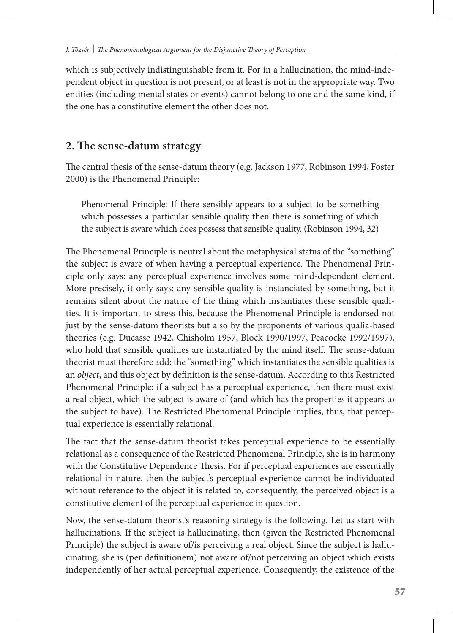which is subjectively indistinguishable from it. For in a hallucination, the mind-independent object in question is not present, or at least is not in the appropriate way. Two entities (including mental states or events) cannot belong to one and the same kind, if the one has a constitutive element the other does not.

#### **2. The sense-datum strategy**

The central thesis of the sense-datum theory (e.g. Jackson 1977, Robinson 1994, Foster 2000) is the Phenomenal Principle:

Phenomenal Principle: If there sensibly appears to a subject to be something which possesses a particular sensible quality then there is something of which the subject is aware which does possess that sensible quality. (Robinson 1994, 32)

The Phenomenal Principle is neutral about the metaphysical status of the "something" the subject is aware of when having a perceptual experience. The Phenomenal Principle only says: any perceptual experience involves some mind-dependent element. More precisely, it only says: any sensible quality is instanciated by something, but it remains silent about the nature of the thing which instantiates these sensible qualities. It is important to stress this, because the Phenomenal Principle is endorsed not just by the sense-datum theorists but also by the proponents of various qualia-based theories (e.g. Ducasse 1942, Chisholm 1957, Block 1990/1997, Peacocke 1992/1997), who hold that sensible qualities are instantiated by the mind itself. The sense-datum theorist must therefore add: the "something" which instantiates the sensible qualities is an *object*, and this object by definition is the sense-datum. According to this Restricted Phenomenal Principle: if a subject has a perceptual experience, then there must exist a real object, which the subject is aware of (and which has the properties it appears to the subject to have). The Restricted Phenomenal Principle implies, thus, that perceptual experience is essentially relational.

The fact that the sense-datum theorist takes perceptual experience to be essentially relational as a consequence of the Restricted Phenomenal Principle, she is in harmony with the Constitutive Dependence Thesis. For if perceptual experiences are essentially relational in nature, then the subject's perceptual experience cannot be individuated without reference to the object it is related to, consequently, the perceived object is a constitutive element of the perceptual experience in question.

Now, the sense-datum theorist's reasoning strategy is the following. Let us start with hallucinations. If the subject is hallucinating, then (given the Restricted Phenomenal Principle) the subject is aware of/is perceiving a real object. Since the subject is hallucinating, she is (per definitionem) not aware of/not perceiving an object which exists independently of her actual perceptual experience. Consequently, the existence of the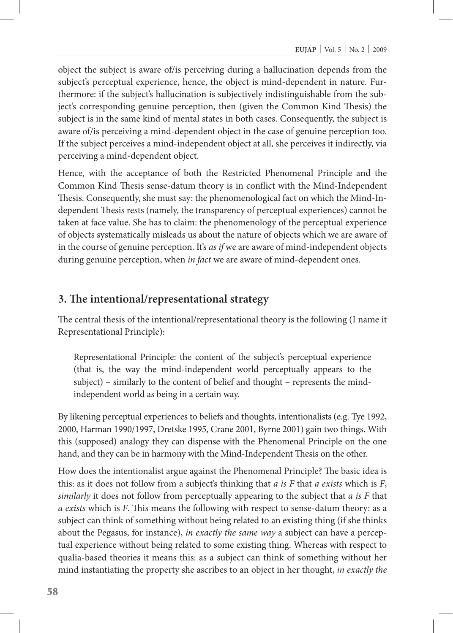object the subject is aware of/is perceiving during a hallucination depends from the subject's perceptual experience, hence, the object is mind-dependent in nature. Furthermore: if the subject's hallucination is subjectively indistinguishable from the subject's corresponding genuine perception, then (given the Common Kind Thesis) the subject is in the same kind of mental states in both cases. Consequently, the subject is aware of/is perceiving a mind-dependent object in the case of genuine perception too. If the subject perceives a mind-independent object at all, she perceives it indirectly, via perceiving a mind-dependent object.

Hence, with the acceptance of both the Restricted Phenomenal Principle and the Common Kind Thesis sense-datum theory is in conflict with the Mind-Independent Thesis. Consequently, she must say: the phenomenological fact on which the Mind-Independent Thesis rests (namely, the transparency of perceptual experiences) cannot be taken at face value. She has to claim: the phenomenology of the perceptual experience of objects systematically misleads us about the nature of objects which we are aware of in the course of genuine perception. It's *as if* we are aware of mind-independent objects during genuine perception, when *in fact* we are aware of mind-dependent ones.

#### **3. The intentional/representational strategy**

The central thesis of the intentional/representational theory is the following (I name it Representational Principle):

Representational Principle: the content of the subject's perceptual experience (that is, the way the mind-independent world perceptually appears to the subject) – similarly to the content of belief and thought – represents the mindindependent world as being in a certain way.

By likening perceptual experiences to beliefs and thoughts, intentionalists (e.g. Tye 1992, 2000, Harman 1990/1997, Dretske 1995, Crane 2001, Byrne 2001) gain two things. With this (supposed) analogy they can dispense with the Phenomenal Principle on the one hand, and they can be in harmony with the Mind-Independent Thesis on the other.

How does the intentionalist argue against the Phenomenal Principle? The basic idea is this: as it does not follow from a subject's thinking that *a is F* that *a exists* which is *F*, *similarly* it does not follow from perceptually appearing to the subject that *a is F* that *a exists* which is *F*. This means the following with respect to sense-datum theory: as a subject can think of something without being related to an existing thing (if she thinks about the Pegasus, for instance), *in exactly the same way* a subject can have a perceptual experience without being related to some existing thing. Whereas with respect to qualia-based theories it means this: as a subject can think of something without her mind instantiating the property she ascribes to an object in her thought, *in exactly the*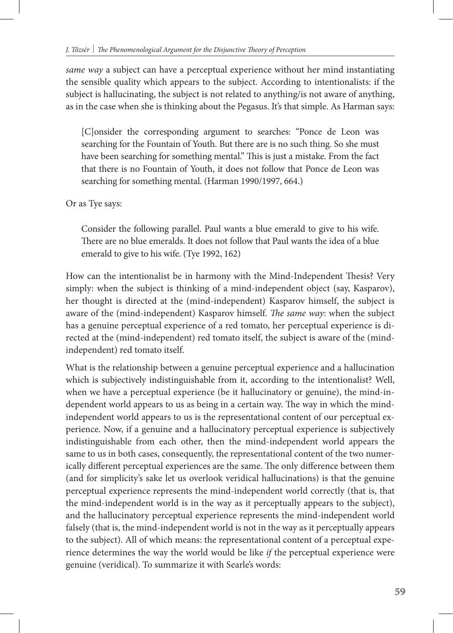*same way* a subject can have a perceptual experience without her mind instantiating the sensible quality which appears to the subject. According to intentionalists: if the subject is hallucinating, the subject is not related to anything/is not aware of anything, as in the case when she is thinking about the Pegasus. It's that simple. As Harman says:

[C]onsider the corresponding argument to searches: "Ponce de Leon was searching for the Fountain of Youth. But there are is no such thing. So she must have been searching for something mental." This is just a mistake. From the fact that there is no Fountain of Youth, it does not follow that Ponce de Leon was searching for something mental. (Harman 1990/1997, 664.)

Or as Tye says:

Consider the following parallel. Paul wants a blue emerald to give to his wife. There are no blue emeralds. It does not follow that Paul wants the idea of a blue emerald to give to his wife. (Tye 1992, 162)

How can the intentionalist be in harmony with the Mind-Independent Thesis? Very simply: when the subject is thinking of a mind-independent object (say, Kasparov), her thought is directed at the (mind-independent) Kasparov himself, the subject is aware of the (mind-independent) Kasparov himself. *The same way*: when the subject has a genuine perceptual experience of a red tomato, her perceptual experience is directed at the (mind-independent) red tomato itself, the subject is aware of the (mindindependent) red tomato itself.

What is the relationship between a genuine perceptual experience and a hallucination which is subjectively indistinguishable from it, according to the intentionalist? Well, when we have a perceptual experience (be it hallucinatory or genuine), the mind-independent world appears to us as being in a certain way. The way in which the mindindependent world appears to us is the representational content of our perceptual experience. Now, if a genuine and a hallucinatory perceptual experience is subjectively indistinguishable from each other, then the mind-independent world appears the same to us in both cases, consequently, the representational content of the two numerically different perceptual experiences are the same. The only difference between them (and for simplicity's sake let us overlook veridical hallucinations) is that the genuine perceptual experience represents the mind-independent world correctly (that is, that the mind-independent world is in the way as it perceptually appears to the subject), and the hallucinatory perceptual experience represents the mind-independent world falsely (that is, the mind-independent world is not in the way as it perceptually appears to the subject). All of which means: the representational content of a perceptual experience determines the way the world would be like *if* the perceptual experience were genuine (veridical). To summarize it with Searle's words: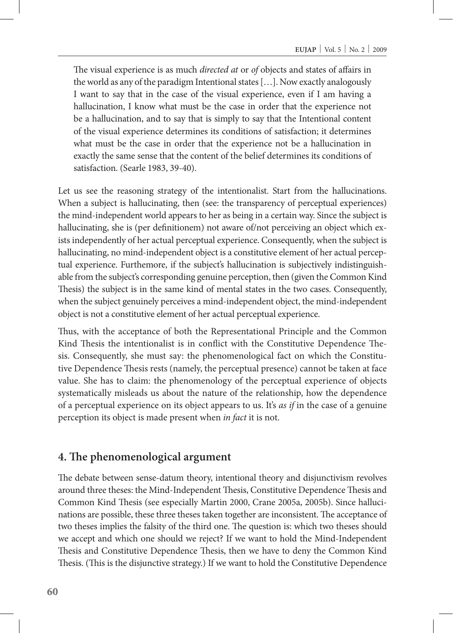The visual experience is as much *directed at* or *of* objects and states of affairs in the world as any of the paradigm Intentional states […]. Now exactly analogously I want to say that in the case of the visual experience, even if I am having a hallucination, I know what must be the case in order that the experience not be a hallucination, and to say that is simply to say that the Intentional content of the visual experience determines its conditions of satisfaction; it determines what must be the case in order that the experience not be a hallucination in exactly the same sense that the content of the belief determines its conditions of satisfaction. (Searle 1983, 39-40).

Let us see the reasoning strategy of the intentionalist. Start from the hallucinations. When a subject is hallucinating, then (see: the transparency of perceptual experiences) the mind-independent world appears to her as being in a certain way. Since the subject is hallucinating, she is (per definitionem) not aware of/not perceiving an object which exists independently of her actual perceptual experience. Consequently, when the subject is hallucinating, no mind-independent object is a constitutive element of her actual perceptual experience. Furthemore, if the subject's hallucination is subjectively indistinguishable from the subject's corresponding genuine perception, then (given the Common Kind Thesis) the subject is in the same kind of mental states in the two cases. Consequently, when the subject genuinely perceives a mind-independent object, the mind-independent object is not a constitutive element of her actual perceptual experience.

Thus, with the acceptance of both the Representational Principle and the Common Kind Thesis the intentionalist is in conflict with the Constitutive Dependence Thesis. Consequently, she must say: the phenomenological fact on which the Constitutive Dependence Thesis rests (namely, the perceptual presence) cannot be taken at face value. She has to claim: the phenomenology of the perceptual experience of objects systematically misleads us about the nature of the relationship, how the dependence of a perceptual experience on its object appears to us. It's *as if* in the case of a genuine perception its object is made present when *in fact* it is not.

#### **4. The phenomenological argument**

The debate between sense-datum theory, intentional theory and disjunctivism revolves around three theses: the Mind-Independent Thesis, Constitutive Dependence Thesis and Common Kind Thesis (see especially Martin 2000, Crane 2005a, 2005b). Since hallucinations are possible, these three theses taken together are inconsistent. The acceptance of two theses implies the falsity of the third one. The question is: which two theses should we accept and which one should we reject? If we want to hold the Mind-Independent Thesis and Constitutive Dependence Thesis, then we have to deny the Common Kind Thesis. (This is the disjunctive strategy.) If we want to hold the Constitutive Dependence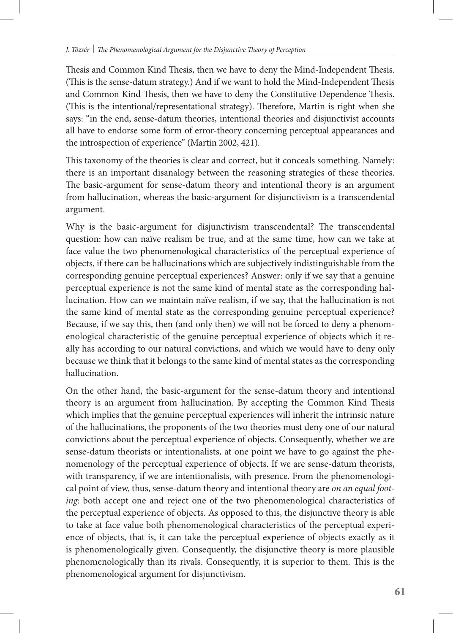Thesis and Common Kind Thesis, then we have to deny the Mind-Independent Thesis. (This is the sense-datum strategy.) And if we want to hold the Mind-Independent Thesis and Common Kind Thesis, then we have to deny the Constitutive Dependence Thesis. (This is the intentional/representational strategy). Therefore, Martin is right when she says: "in the end, sense-datum theories, intentional theories and disjunctivist accounts all have to endorse some form of error-theory concerning perceptual appearances and the introspection of experience" (Martin 2002, 421).

This taxonomy of the theories is clear and correct, but it conceals something. Namely: there is an important disanalogy between the reasoning strategies of these theories. The basic-argument for sense-datum theory and intentional theory is an argument from hallucination, whereas the basic-argument for disjunctivism is a transcendental argument.

Why is the basic-argument for disjunctivism transcendental? The transcendental question: how can naïve realism be true, and at the same time, how can we take at face value the two phenomenological characteristics of the perceptual experience of objects, if there can be hallucinations which are subjectively indistinguishable from the corresponding genuine perceptual experiences? Answer: only if we say that a genuine perceptual experience is not the same kind of mental state as the corresponding hallucination. How can we maintain naïve realism, if we say, that the hallucination is not the same kind of mental state as the corresponding genuine perceptual experience? Because, if we say this, then (and only then) we will not be forced to deny a phenomenological characteristic of the genuine perceptual experience of objects which it really has according to our natural convictions, and which we would have to deny only because we think that it belongs to the same kind of mental states as the corresponding hallucination.

On the other hand, the basic-argument for the sense-datum theory and intentional theory is an argument from hallucination. By accepting the Common Kind Thesis which implies that the genuine perceptual experiences will inherit the intrinsic nature of the hallucinations, the proponents of the two theories must deny one of our natural convictions about the perceptual experience of objects. Consequently, whether we are sense-datum theorists or intentionalists, at one point we have to go against the phenomenology of the perceptual experience of objects. If we are sense-datum theorists, with transparency, if we are intentionalists, with presence. From the phenomenological point of view, thus, sense-datum theory and intentional theory are *on an equal footing*: both accept one and reject one of the two phenomenological characteristics of the perceptual experience of objects. As opposed to this, the disjunctive theory is able to take at face value both phenomenological characteristics of the perceptual experience of objects, that is, it can take the perceptual experience of objects exactly as it is phenomenologically given. Consequently, the disjunctive theory is more plausible phenomenologically than its rivals. Consequently, it is superior to them. This is the phenomenological argument for disjunctivism.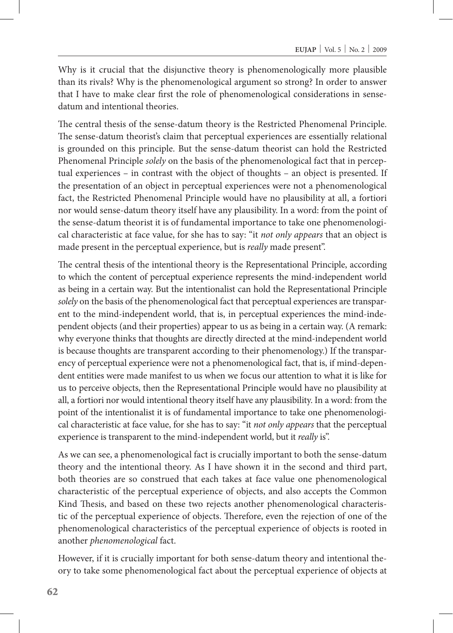Why is it crucial that the disjunctive theory is phenomenologically more plausible than its rivals? Why is the phenomenological argument so strong? In order to answer that I have to make clear first the role of phenomenological considerations in sensedatum and intentional theories.

The central thesis of the sense-datum theory is the Restricted Phenomenal Principle. The sense-datum theorist's claim that perceptual experiences are essentially relational is grounded on this principle. But the sense-datum theorist can hold the Restricted Phenomenal Principle *solely* on the basis of the phenomenological fact that in perceptual experiences – in contrast with the object of thoughts – an object is presented. If the presentation of an object in perceptual experiences were not a phenomenological fact, the Restricted Phenomenal Principle would have no plausibility at all, a fortiori nor would sense-datum theory itself have any plausibility. In a word: from the point of the sense-datum theorist it is of fundamental importance to take one phenomenological characteristic at face value, for she has to say: "it *not only appears* that an object is made present in the perceptual experience, but is *really* made present".

The central thesis of the intentional theory is the Representational Principle, according to which the content of perceptual experience represents the mind-independent world as being in a certain way. But the intentionalist can hold the Representational Principle *solely* on the basis of the phenomenological fact that perceptual experiences are transparent to the mind-independent world, that is, in perceptual experiences the mind-independent objects (and their properties) appear to us as being in a certain way. (A remark: why everyone thinks that thoughts are directly directed at the mind-independent world is because thoughts are transparent according to their phenomenology.) If the transparency of perceptual experience were not a phenomenological fact, that is, if mind-dependent entities were made manifest to us when we focus our attention to what it is like for us to perceive objects, then the Representational Principle would have no plausibility at all, a fortiori nor would intentional theory itself have any plausibility. In a word: from the point of the intentionalist it is of fundamental importance to take one phenomenological characteristic at face value, for she has to say: "it *not only appears* that the perceptual experience is transparent to the mind-independent world, but it *really* is".

As we can see, a phenomenological fact is crucially important to both the sense-datum theory and the intentional theory. As I have shown it in the second and third part, both theories are so construed that each takes at face value one phenomenological characteristic of the perceptual experience of objects, and also accepts the Common Kind Thesis, and based on these two rejects another phenomenological characteristic of the perceptual experience of objects. Therefore, even the rejection of one of the phenomenological characteristics of the perceptual experience of objects is rooted in another *phenomenological* fact.

However, if it is crucially important for both sense-datum theory and intentional theory to take some phenomenological fact about the perceptual experience of objects at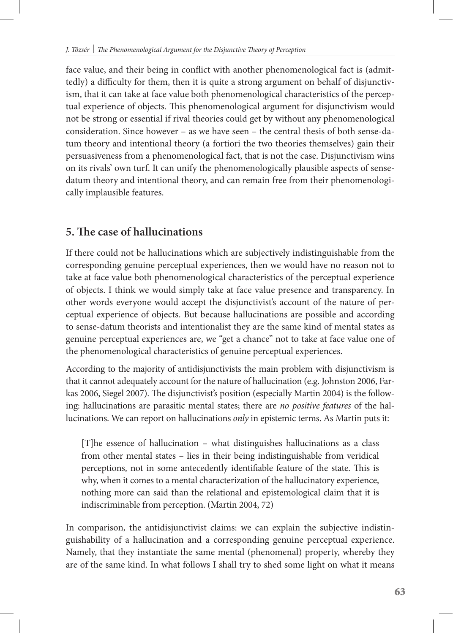face value, and their being in conflict with another phenomenological fact is (admittedly) a difficulty for them, then it is quite a strong argument on behalf of disjunctivism, that it can take at face value both phenomenological characteristics of the perceptual experience of objects. This phenomenological argument for disjunctivism would not be strong or essential if rival theories could get by without any phenomenological consideration. Since however – as we have seen – the central thesis of both sense-datum theory and intentional theory (a fortiori the two theories themselves) gain their persuasiveness from a phenomenological fact, that is not the case. Disjunctivism wins on its rivals' own turf. It can unify the phenomenologically plausible aspects of sensedatum theory and intentional theory, and can remain free from their phenomenologically implausible features.

## **5. The case of hallucinations**

If there could not be hallucinations which are subjectively indistinguishable from the corresponding genuine perceptual experiences, then we would have no reason not to take at face value both phenomenological characteristics of the perceptual experience of objects. I think we would simply take at face value presence and transparency. In other words everyone would accept the disjunctivist's account of the nature of perceptual experience of objects. But because hallucinations are possible and according to sense-datum theorists and intentionalist they are the same kind of mental states as genuine perceptual experiences are, we "get a chance" not to take at face value one of the phenomenological characteristics of genuine perceptual experiences.

According to the majority of antidisjunctivists the main problem with disjunctivism is that it cannot adequately account for the nature of hallucination (e.g. Johnston 2006, Farkas 2006, Siegel 2007). The disjunctivist's position (especially Martin 2004) is the following: hallucinations are parasitic mental states; there are *no positive features* of the hallucinations. We can report on hallucinations *only* in epistemic terms. As Martin puts it:

[T]he essence of hallucination – what distinguishes hallucinations as a class from other mental states – lies in their being indistinguishable from veridical perceptions, not in some antecedently identifiable feature of the state. This is why, when it comes to a mental characterization of the hallucinatory experience, nothing more can said than the relational and epistemological claim that it is indiscriminable from perception. (Martin 2004, 72)

In comparison, the antidisjunctivist claims: we can explain the subjective indistinguishability of a hallucination and a corresponding genuine perceptual experience. Namely, that they instantiate the same mental (phenomenal) property, whereby they are of the same kind. In what follows I shall try to shed some light on what it means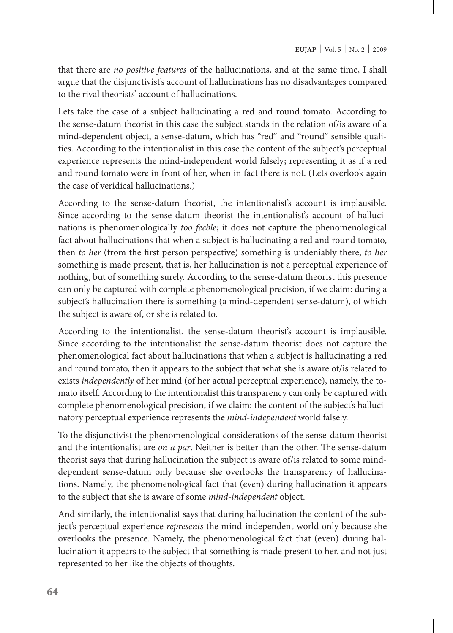that there are *no positive features* of the hallucinations, and at the same time, I shall argue that the disjunctivist's account of hallucinations has no disadvantages compared to the rival theorists' account of hallucinations.

Lets take the case of a subject hallucinating a red and round tomato. According to the sense-datum theorist in this case the subject stands in the relation of/is aware of a mind-dependent object, a sense-datum, which has "red" and "round" sensible qualities. According to the intentionalist in this case the content of the subject's perceptual experience represents the mind-independent world falsely; representing it as if a red and round tomato were in front of her, when in fact there is not. (Lets overlook again the case of veridical hallucinations.)

According to the sense-datum theorist, the intentionalist's account is implausible. Since according to the sense-datum theorist the intentionalist's account of hallucinations is phenomenologically *too feeble*; it does not capture the phenomenological fact about hallucinations that when a subject is hallucinating a red and round tomato, then *to her* (from the first person perspective) something is undeniably there, *to her* something is made present, that is, her hallucination is not a perceptual experience of nothing, but of something surely. According to the sense-datum theorist this presence can only be captured with complete phenomenological precision, if we claim: during a subject's hallucination there is something (a mind-dependent sense-datum), of which the subject is aware of, or she is related to.

According to the intentionalist, the sense-datum theorist's account is implausible. Since according to the intentionalist the sense-datum theorist does not capture the phenomenological fact about hallucinations that when a subject is hallucinating a red and round tomato, then it appears to the subject that what she is aware of/is related to exists *independently* of her mind (of her actual perceptual experience), namely, the tomato itself. According to the intentionalist this transparency can only be captured with complete phenomenological precision, if we claim: the content of the subject's hallucinatory perceptual experience represents the *mind-independent* world falsely.

To the disjunctivist the phenomenological considerations of the sense-datum theorist and the intentionalist are *on a par*. Neither is better than the other. The sense-datum theorist says that during hallucination the subject is aware of/is related to some minddependent sense-datum only because she overlooks the transparency of hallucinations. Namely, the phenomenological fact that (even) during hallucination it appears to the subject that she is aware of some *mind-independent* object.

And similarly, the intentionalist says that during hallucination the content of the subject's perceptual experience *represents* the mind-independent world only because she overlooks the presence. Namely, the phenomenological fact that (even) during hallucination it appears to the subject that something is made present to her, and not just represented to her like the objects of thoughts.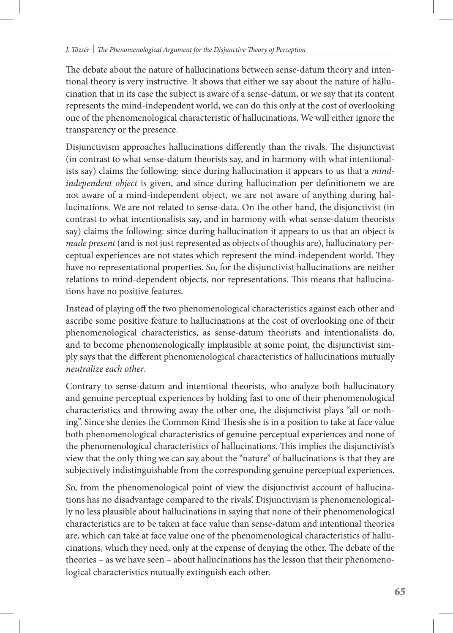The debate about the nature of hallucinations between sense-datum theory and intentional theory is very instructive. It shows that either we say about the nature of hallucination that in its case the subject is aware of a sense-datum, or we say that its content represents the mind-independent world, we can do this only at the cost of overlooking one of the phenomenological characteristic of hallucinations. We will either ignore the transparency or the presence.

Disjunctivism approaches hallucinations differently than the rivals. The disjunctivist (in contrast to what sense-datum theorists say, and in harmony with what intentionalists say) claims the following: since during hallucination it appears to us that a *mindindependent object* is given, and since during hallucination per definitionem we are not aware of a mind-independent object, we are not aware of anything during hallucinations. We are not related to sense-data. On the other hand, the disjunctivist (in contrast to what intentionalists say, and in harmony with what sense-datum theorists say) claims the following: since during hallucination it appears to us that an object is *made present* (and is not just represented as objects of thoughts are), hallucinatory perceptual experiences are not states which represent the mind-independent world. They have no representational properties. So, for the disjunctivist hallucinations are neither relations to mind-dependent objects, nor representations. This means that hallucinations have no positive features.

Instead of playing off the two phenomenological characteristics against each other and ascribe some positive feature to hallucinations at the cost of overlooking one of their phenomenological characteristics, as sense-datum theorists and intentionalists do, and to become phenomenologically implausible at some point, the disjunctivist simply says that the different phenomenological characteristics of hallucinations mutually *neutralize each other*.

Contrary to sense-datum and intentional theorists, who analyze both hallucinatory and genuine perceptual experiences by holding fast to one of their phenomenological characteristics and throwing away the other one, the disjunctivist plays "all or nothing". Since she denies the Common Kind Thesis she is in a position to take at face value both phenomenological characteristics of genuine perceptual experiences and none of the phenomenological characteristics of hallucinations. This implies the disjunctivist's view that the only thing we can say about the "nature" of hallucinations is that they are subjectively indistinguishable from the corresponding genuine perceptual experiences.

So, from the phenomenological point of view the disjunctivist account of hallucinations has no disadvantage compared to the rivals'. Disjunctivism is phenomenologically no less plausible about hallucinations in saying that none of their phenomenological characteristics are to be taken at face value than sense-datum and intentional theories are, which can take at face value one of the phenomenological characteristics of hallucinations, which they need, only at the expense of denying the other. The debate of the theories – as we have seen – about hallucinations has the lesson that their phenomenological characteristics mutually extinguish each other.